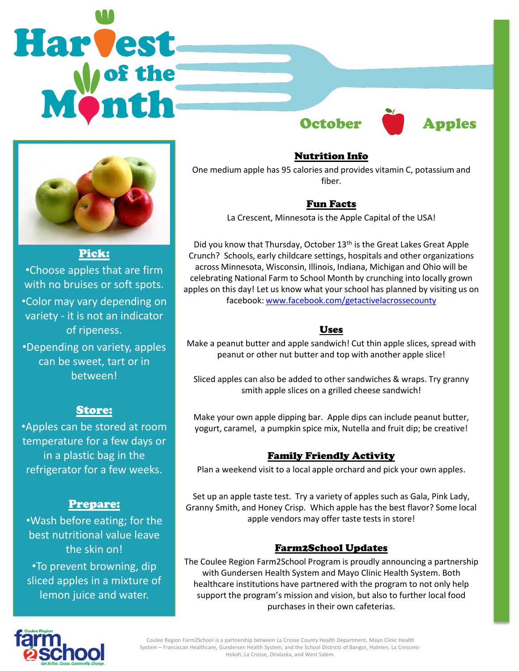



Pick: •Choose apples that are firm with no bruises or soft spots. •Color may vary depending on variety - it is not an indicator of ripeness. •Depending on variety, apples can be sweet, tart or in

between!

# Store:

•Apples can be stored at room temperature for a few days or in a plastic bag in the refrigerator for a few weeks.

### Prepare:

•Wash before eating; for the best nutritional value leave the skin on! •To prevent browning, dip sliced apples in a mixture of lemon juice and water.

Nutrition Info One medium apple has 95 calories and provides vitamin C, potassium and fiber.

### Fun Facts

La Crescent, Minnesota is the Apple Capital of the USA!

Did you know that Thursday, October 13<sup>th</sup> is the Great Lakes Great Apple Crunch? Schools, early childcare settings, hospitals and other organizations across Minnesota, Wisconsin, Illinois, Indiana, Michigan and Ohio will be celebrating National Farm to School Month by crunching into locally grown apples on this day! Let us know what your school has planned by visiting us on facebook: [www.facebook.com/getactivelacrossecounty](http://www.facebook.com/getactivelacrossecounty)

### Uses

Make a peanut butter and apple sandwich! Cut thin apple slices, spread with peanut or other nut butter and top with another apple slice!

Sliced apples can also be added to other sandwiches & wraps. Try granny smith apple slices on a grilled cheese sandwich!

Make your own apple dipping bar. Apple dips can include peanut butter, yogurt, caramel, a pumpkin spice mix, Nutella and fruit dip; be creative!

### Family Friendly Activity

Plan a weekend visit to a local apple orchard and pick your own apples.

Set up an apple taste test. Try a variety of apples such as Gala, Pink Lady, Granny Smith, and Honey Crisp. Which apple has the best flavor? Some local apple vendors may offer taste tests in store!

# Farm2School Updates

The Coulee Region Farm2School Program is proudly announcing a partnership with Gundersen Health System and Mayo Clinic Health System. Both healthcare institutions have partnered with the program to not only help support the program's mission and vision, but also to further local food purchases in their own cafeterias.



Coulee Region Farm2School is a partnership between La Crosse County Health Department, Mayo Clinic Health System – Franciscan Healthcare, Gundersen Health System, and the School Districts of Bangor, Holmen, La Crescent-Hokah, La Crosse, Onalaska, and West Salem.